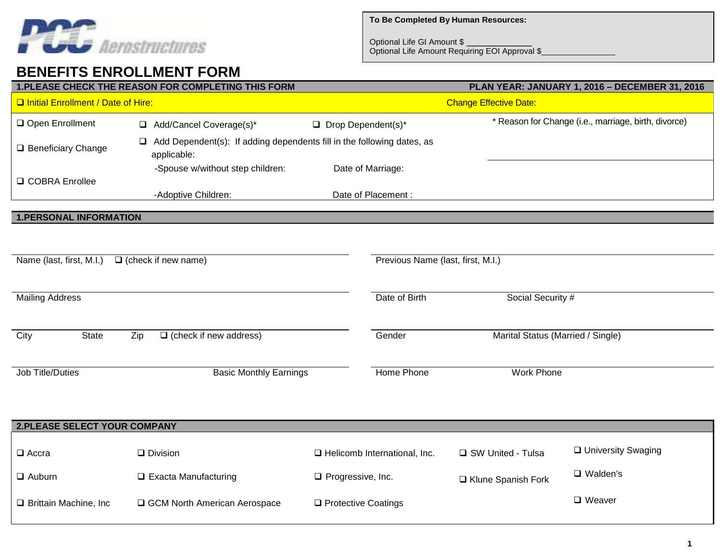

Optional Life GI Amount \$ \_\_\_\_\_\_\_\_\_\_\_\_\_\_ Optional Life Amount Requiring EOI Approval \$

## **BENEFITS ENROLLMENT FORM**

| 1. PLEASE CHECK THE REASON FOR COMPLETING THIS FORM      |                                                                                             |                                  |                             |                                                      | PLAN YEAR: JANUARY 1, 2016 - DECEMBER 31, 2016 |                      |  |  |
|----------------------------------------------------------|---------------------------------------------------------------------------------------------|----------------------------------|-----------------------------|------------------------------------------------------|------------------------------------------------|----------------------|--|--|
| <b>Q Initial Enrollment / Date of Hire:</b>              |                                                                                             |                                  |                             | <b>Change Effective Date:</b>                        |                                                |                      |  |  |
| Open Enrollment                                          |                                                                                             | Add/Cancel Coverage(s)*          | $\Box$ Drop Dependent(s)*   | * Reason for Change (i.e., marriage, birth, divorce) |                                                |                      |  |  |
| □ Beneficiary Change                                     | Add Dependent(s): If adding dependents fill in the following dates, as<br>❏.<br>applicable: |                                  |                             |                                                      |                                                |                      |  |  |
|                                                          |                                                                                             | -Spouse w/without step children: |                             | Date of Marriage:                                    |                                                |                      |  |  |
| □ COBRA Enrollee                                         |                                                                                             | -Adoptive Children:              |                             | Date of Placement:                                   |                                                |                      |  |  |
| <b>1.PERSONAL INFORMATION</b>                            |                                                                                             |                                  |                             |                                                      |                                                |                      |  |  |
|                                                          |                                                                                             |                                  |                             |                                                      |                                                |                      |  |  |
|                                                          |                                                                                             |                                  |                             |                                                      |                                                |                      |  |  |
| Name (last, first, M.I.)                                 |                                                                                             | $\Box$ (check if new name)       |                             | Previous Name (last, first, M.I.)                    |                                                |                      |  |  |
|                                                          |                                                                                             |                                  |                             |                                                      |                                                |                      |  |  |
| <b>Mailing Address</b>                                   |                                                                                             |                                  |                             | Date of Birth                                        | Social Security #                              |                      |  |  |
|                                                          |                                                                                             |                                  |                             |                                                      |                                                |                      |  |  |
| City<br><b>State</b>                                     | Zip                                                                                         | $\Box$ (check if new address)    |                             | Gender                                               | Marital Status (Married / Single)              |                      |  |  |
|                                                          |                                                                                             |                                  |                             |                                                      |                                                |                      |  |  |
| <b>Job Title/Duties</b><br><b>Basic Monthly Earnings</b> |                                                                                             |                                  | <b>Home Phone</b>           | <b>Work Phone</b>                                    |                                                |                      |  |  |
|                                                          |                                                                                             |                                  |                             |                                                      |                                                |                      |  |  |
|                                                          |                                                                                             |                                  |                             |                                                      |                                                |                      |  |  |
| 2.PLEASE SELECT YOUR COMPANY                             |                                                                                             |                                  |                             |                                                      |                                                |                      |  |  |
| $\Box$ Accra                                             |                                                                                             | $\Box$ Division                  |                             | □ Helicomb International, Inc.                       | □ SW United - Tulsa                            | □ University Swaging |  |  |
| $\Box$ Auburn                                            |                                                                                             | $\Box$ Exacta Manufacturing      | $\square$ Progressive, Inc. |                                                      | □ Klune Spanish Fork                           | $\Box$ Walden's      |  |  |
| □ Brittain Machine, Inc                                  |                                                                                             | GCM North American Aerospace     | □ Protective Coatings       |                                                      |                                                | $\square$ Weaver     |  |  |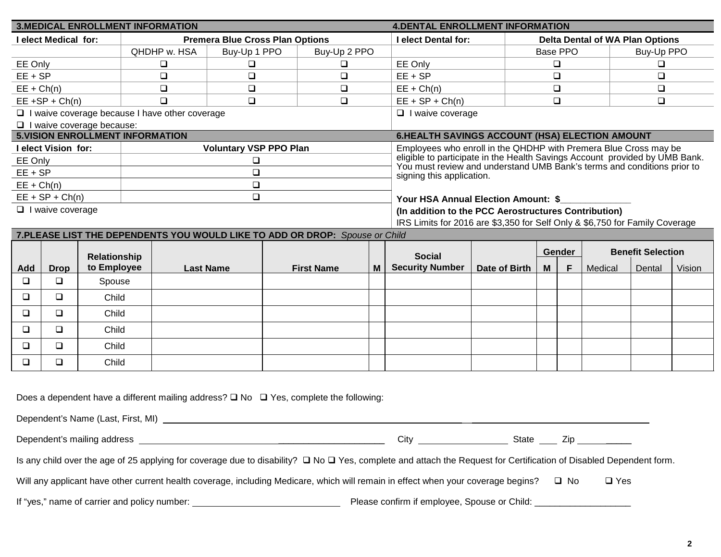|                            |                         |                                  | <b>3.MEDICAL ENROLLMENT INFORMATION</b>               |                                                                                                                                                                              |                            |                                                                                                      | <b>4.DENTAL ENROLLMENT INFORMATION</b>                                      |                        |                  |   |         |        |        |
|----------------------------|-------------------------|----------------------------------|-------------------------------------------------------|------------------------------------------------------------------------------------------------------------------------------------------------------------------------------|----------------------------|------------------------------------------------------------------------------------------------------|-----------------------------------------------------------------------------|------------------------|------------------|---|---------|--------|--------|
| <b>Lelect Medical for:</b> |                         |                                  |                                                       | <b>Premera Blue Cross Plan Options</b>                                                                                                                                       | <b>I elect Dental for:</b> |                                                                                                      | <b>Delta Dental of WA Plan Options</b>                                      |                        |                  |   |         |        |        |
|                            |                         | QHDHP w. HSA                     | Buy-Up 2 PPO<br>Buy-Up 1 PPO                          |                                                                                                                                                                              |                            |                                                                                                      |                                                                             | Base PPO<br>Buy-Up PPO |                  |   |         |        |        |
| EE Only                    |                         |                                  | ❏                                                     | 0<br>$\Box$                                                                                                                                                                  |                            | EE Only                                                                                              |                                                                             |                        | $\Box$<br>$\Box$ |   |         |        |        |
| $EE + SP$                  |                         |                                  | $\Box$                                                | $\Box$                                                                                                                                                                       | $\Box$                     |                                                                                                      | $EE + SP$                                                                   |                        | $\Box$           |   |         | $\Box$ |        |
| $EE + Ch(n)$               |                         |                                  | $\Box$                                                | $\Box$                                                                                                                                                                       | $\Box$                     |                                                                                                      | $EE + Ch(n)$                                                                |                        | $\Box$           |   |         | $\Box$ |        |
|                            | $EE + SP + Ch(n)$       |                                  | $\Box$                                                | $\Box$                                                                                                                                                                       | $\Box$                     |                                                                                                      | $EE + SP + Ch(n)$                                                           |                        | $\Box$           |   |         | $\Box$ |        |
|                            |                         |                                  | $\Box$ I waive coverage because I have other coverage |                                                                                                                                                                              |                            |                                                                                                      | $\Box$ I waive coverage                                                     |                        |                  |   |         |        |        |
|                            |                         | $\Box$ I waive coverage because: | <b>5.VISION ENROLLMENT INFORMATION</b>                |                                                                                                                                                                              |                            |                                                                                                      | 6.HEALTH SAVINGS ACCOUNT (HSA) ELECTION AMOUNT                              |                        |                  |   |         |        |        |
|                            | I elect Vision for:     |                                  |                                                       | <b>Voluntary VSP PPO Plan</b>                                                                                                                                                |                            |                                                                                                      | Employees who enroll in the QHDHP with Premera Blue Cross may be            |                        |                  |   |         |        |        |
| EE Only                    |                         |                                  |                                                       | $\Box$                                                                                                                                                                       |                            |                                                                                                      | eligible to participate in the Health Savings Account provided by UMB Bank. |                        |                  |   |         |        |        |
| $EE + SP$                  |                         |                                  |                                                       | $\Box$                                                                                                                                                                       |                            | You must review and understand UMB Bank's terms and conditions prior to<br>signing this application. |                                                                             |                        |                  |   |         |        |        |
| $EE + Ch(n)$               |                         |                                  |                                                       | $\Box$                                                                                                                                                                       |                            |                                                                                                      |                                                                             |                        |                  |   |         |        |        |
|                            | $EE + SP + Ch(n)$       |                                  |                                                       | $\Box$                                                                                                                                                                       |                            |                                                                                                      | Your HSA Annual Election Amount: \$                                         |                        |                  |   |         |        |        |
|                            | $\Box$ I waive coverage |                                  |                                                       |                                                                                                                                                                              |                            |                                                                                                      | (In addition to the PCC Aerostructures Contribution)                        |                        |                  |   |         |        |        |
|                            |                         |                                  |                                                       |                                                                                                                                                                              |                            |                                                                                                      | IRS Limits for 2016 are \$3,350 for Self Only & \$6,750 for Family Coverage |                        |                  |   |         |        |        |
|                            |                         |                                  |                                                       | 7. PLEASE LIST THE DEPENDENTS YOU WOULD LIKE TO ADD OR DROP: Spouse or Child                                                                                                 |                            |                                                                                                      |                                                                             |                        |                  |   |         |        |        |
|                            |                         | <b>Relationship</b>              |                                                       |                                                                                                                                                                              |                            |                                                                                                      | <b>Benefit Selection</b><br><b>Gender</b><br><b>Social</b>                  |                        |                  |   |         |        |        |
| Add                        | <b>Drop</b>             | to Employee                      |                                                       | <b>Last Name</b>                                                                                                                                                             | <b>First Name</b>          | M <sub>1</sub>                                                                                       | <b>Security Number</b>                                                      | Date of Birth          | M                | F | Medical | Dental | Vision |
| $\Box$                     | $\Box$                  | Spouse                           |                                                       |                                                                                                                                                                              |                            |                                                                                                      |                                                                             |                        |                  |   |         |        |        |
| $\Box$                     | $\Box$                  | Child                            |                                                       |                                                                                                                                                                              |                            |                                                                                                      |                                                                             |                        |                  |   |         |        |        |
| $\Box$                     | $\Box$                  | Child                            |                                                       |                                                                                                                                                                              |                            |                                                                                                      |                                                                             |                        |                  |   |         |        |        |
|                            |                         |                                  |                                                       |                                                                                                                                                                              |                            |                                                                                                      |                                                                             |                        |                  |   |         |        |        |
| $\Box$                     | $\Box$                  | Child                            |                                                       |                                                                                                                                                                              |                            |                                                                                                      |                                                                             |                        |                  |   |         |        |        |
| $\Box$                     | $\Box$                  | Child                            |                                                       |                                                                                                                                                                              |                            |                                                                                                      |                                                                             |                        |                  |   |         |        |        |
| $\Box$                     | $\Box$                  | Child                            |                                                       |                                                                                                                                                                              |                            |                                                                                                      |                                                                             |                        |                  |   |         |        |        |
|                            |                         |                                  |                                                       |                                                                                                                                                                              |                            |                                                                                                      |                                                                             |                        |                  |   |         |        |        |
|                            |                         |                                  |                                                       |                                                                                                                                                                              |                            |                                                                                                      |                                                                             |                        |                  |   |         |        |        |
|                            |                         |                                  |                                                       | Does a dependent have a different mailing address? $\square$ No $\square$ Yes, complete the following:                                                                       |                            |                                                                                                      |                                                                             |                        |                  |   |         |        |        |
|                            |                         |                                  |                                                       |                                                                                                                                                                              |                            |                                                                                                      |                                                                             |                        |                  |   |         |        |        |
|                            |                         |                                  |                                                       |                                                                                                                                                                              |                            |                                                                                                      |                                                                             |                        |                  |   |         |        |        |
|                            |                         |                                  |                                                       | Is any child over the age of 25 applying for coverage due to disability? $\Box$ No $\Box$ Yes, complete and attach the Request for Certification of Disabled Dependent form. |                            |                                                                                                      |                                                                             |                        |                  |   |         |        |        |

Will any applicant have other current health coverage, including Medicare, which will remain in effect when your coverage begins? 
<br>
U No 

U Yes

If "yes," name of carrier and policy number: Please confirm if employee, Spouse or Child: \_\_\_\_\_\_\_\_\_\_\_\_\_\_\_\_\_\_\_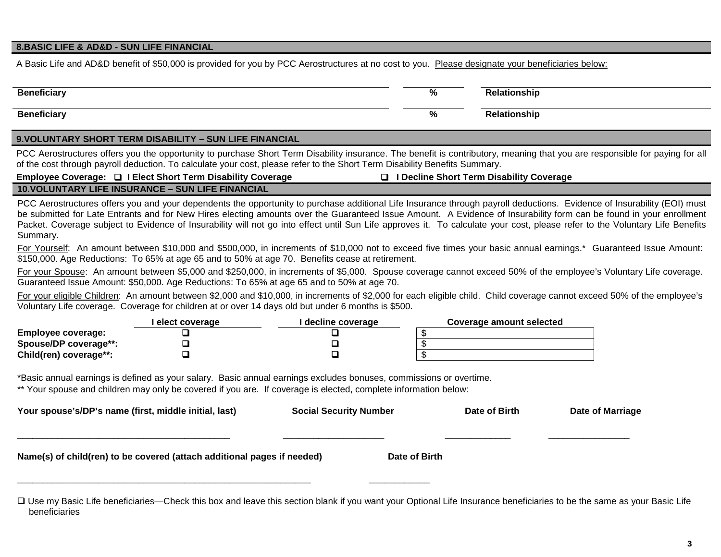## **8.BASIC LIFE & AD&D - SUN LIFE FINANCIAL**

A Basic Life and AD&D benefit of \$50,000 is provided for you by PCC Aerostructures at no cost to you. Please designate your beneficiaries below:

| <b>Beneficiar</b> | $\mathbf{a}$<br>70 | วทรhเเ |
|-------------------|--------------------|--------|
| Beneficiar        | $\mathbf{a}$<br>70 | วทรhเเ |

## **9.VOLUNTARY SHORT TERM DISABILITY – SUN LIFE FINANCIAL**

PCC Aerostructures offers you the opportunity to purchase Short Term Disability insurance. The benefit is contributory, meaning that you are responsible for paying for all of the cost through payroll deduction. To calculate your cost, please refer to the Short Term Disability Benefits Summary.

**Employee Coverage: I Elect Short Term Disability Coverage I Decline Short Term Disability Coverage** 

| Employee Coverage: □ I Elect Short Term Disability Coverage |
|-------------------------------------------------------------|
| <b>10. VOLUNTARY LIFE INSURANCE - SUN LIFE FINANCIAL</b>    |

PCC Aerostructures offers you and your dependents the opportunity to purchase additional Life Insurance through payroll deductions. Evidence of Insurability (EOI) must be submitted for Late Entrants and for New Hires electing amounts over the Guaranteed Issue Amount. A Evidence of Insurability form can be found in your enrollment Packet. Coverage subject to Evidence of Insurability will not go into effect until Sun Life approves it. To calculate your cost, please refer to the Voluntary Life Benefits Summary.

For Yourself: An amount between \$10,000 and \$500,000, in increments of \$10,000 not to exceed five times your basic annual earnings.\* Guaranteed Issue Amount: \$150,000. Age Reductions: To 65% at age 65 and to 50% at age 70. Benefits cease at retirement.

For your Spouse: An amount between \$5,000 and \$250,000, in increments of \$5,000. Spouse coverage cannot exceed 50% of the employee's Voluntary Life coverage. Guaranteed Issue Amount: \$50,000. Age Reductions: To 65% at age 65 and to 50% at age 70.

For your eligible Children: An amount between \$2,000 and \$10,000, in increments of \$2,000 for each eligible child. Child coverage cannot exceed 50% of the employee's Voluntary Life coverage. Coverage for children at or over 14 days old but under 6 months is \$500.

|                        | l elect coverage | I decline coverage | Coverage amount selected |
|------------------------|------------------|--------------------|--------------------------|
| Employee coverage:     |                  |                    |                          |
| Spouse/DP coverage**:  |                  |                    |                          |
| Child(ren) coverage**: |                  |                    |                          |

\*Basic annual earnings is defined as your salary. Basic annual earnings excludes bonuses, commissions or overtime.

\*\* Your spouse and children may only be covered if you are. If coverage is elected, complete information below:

| Your spouse's/DP's name (first, middle initial, last)                   | <b>Social Security Number</b> | Date of Birth | Date of Marriage |  |  |
|-------------------------------------------------------------------------|-------------------------------|---------------|------------------|--|--|
| Name(s) of child(ren) to be covered (attach additional pages if needed) | Date of Birth                 |               |                  |  |  |

□ Use my Basic Life beneficiaries—Check this box and leave this section blank if you want your Optional Life Insurance beneficiaries to be the same as your Basic Life beneficiaries